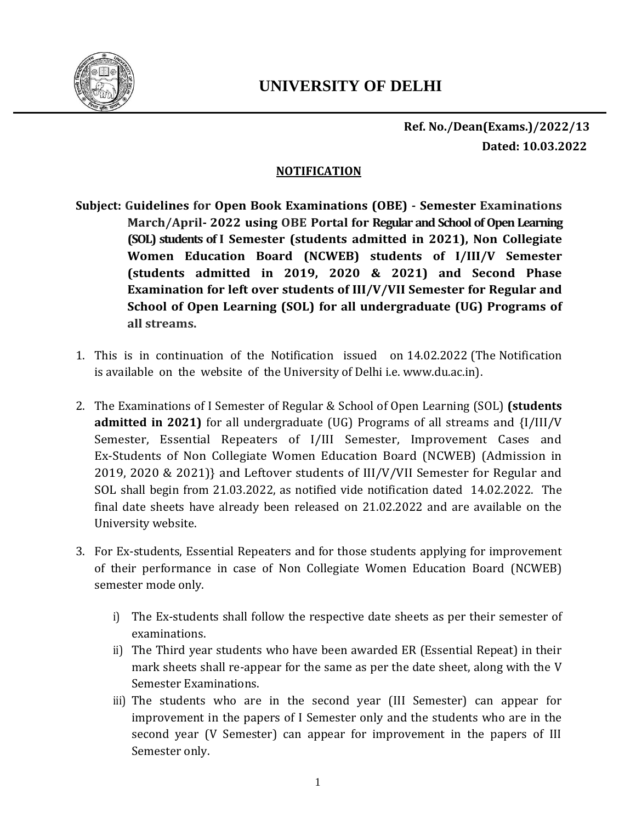

**Ref. No./Dean(Exams.)/2022/13 Dated: 10.03.2022**

#### **NOTIFICATION**

- **Subject: Guidelines for Open Book Examinations (OBE) - Semester Examinations March/April- 2022 using OBE Portal for Regular and School of Open Learning (SOL) students of I Semester (students admitted in 2021), Non Collegiate Women Education Board (NCWEB) students of I/III/V Semester (students admitted in 2019, 2020 & 2021) and Second Phase Examination for left over students of III/V/VII Semester for Regular and School of Open Learning (SOL) for all undergraduate (UG) Programs of all streams.**
- 1. This is in continuation of the Notification issued on 14.02.2022 (The Notification is available on the website of the University of Delhi i.e. www.du.ac.in).
- 2. The Examinations of I Semester of Regular & School of Open Learning (SOL) **(students admitted in 2021)** for all undergraduate (UG) Programs of all streams and {I/III/V Semester, Essential Repeaters of I/III Semester, Improvement Cases and Ex-Students of Non Collegiate Women Education Board (NCWEB) (Admission in 2019, 2020 & 2021)} and Leftover students of III/V/VII Semester for Regular and SOL shall begin from 21.03.2022, as notified vide notification dated 14.02.2022. The final date sheets have already been released on 21.02.2022 and are available on the University website.
- 3. For Ex-students, Essential Repeaters and for those students applying for improvement of their performance in case of Non Collegiate Women Education Board (NCWEB) semester mode only.
	- i) The Ex-students shall follow the respective date sheets as per their semester of examinations.
	- ii) The Third year students who have been awarded ER (Essential Repeat) in their mark sheets shall re-appear for the same as per the date sheet, along with the V Semester Examinations.
	- iii) The students who are in the second year (III Semester) can appear for improvement in the papers of I Semester only and the students who are in the second year (V Semester) can appear for improvement in the papers of III Semester only.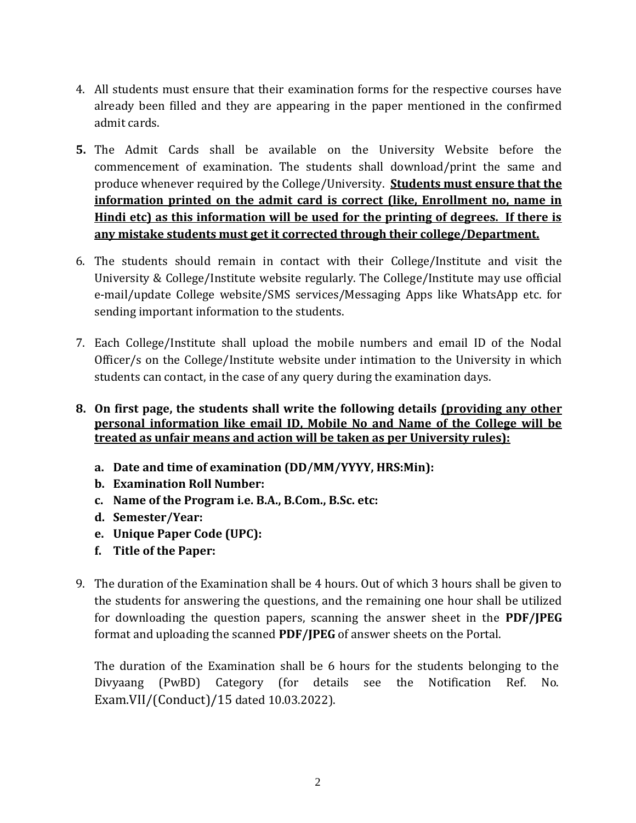- 4. All students must ensure that their examination forms for the respective courses have already been filled and they are appearing in the paper mentioned in the confirmed admit cards.
- **5.** The Admit Cards shall be available on the University Website before the commencement of examination. The students shall download/print the same and produce whenever required by the College/University. **Students must ensure that the information printed on the admit card is correct (like, Enrollment no, name in Hindi etc) as this information will be used for the printing of degrees. If there is any mistake students must get it corrected through their college/Department.**
- 6. The students should remain in contact with their College/Institute and visit the University & College/Institute website regularly. The College/Institute may use official e-mail/update College website/SMS services/Messaging Apps like WhatsApp etc. for sending important information to the students.
- 7. Each College/Institute shall upload the mobile numbers and email ID of the Nodal Officer/s on the College/Institute website under intimation to the University in which students can contact, in the case of any query during the examination days.
- **8. On first page, the students shall write the following details (providing any other personal information like email ID, Mobile No and Name of the College will be treated as unfair means and action will be taken as per University rules):**
	- **a. Date and time of examination (DD/MM/YYYY, HRS:Min):**
	- **b. Examination Roll Number:**
	- **c. Name of the Program i.e. B.A., B.Com., B.Sc. etc:**
	- **d. Semester/Year:**
	- **e. Unique Paper Code (UPC):**
	- **f. Title of the Paper:**
- 9. The duration of the Examination shall be 4 hours. Out of which 3 hours shall be given to the students for answering the questions, and the remaining one hour shall be utilized for downloading the question papers, scanning the answer sheet in the **PDF/JPEG** format and uploading the scanned **PDF/JPEG** of answer sheets on the Portal.

The duration of the Examination shall be 6 hours for the students belonging to the Divyaang (PwBD) Category (for details see the Notification Ref. No. Exam.VII/(Conduct)/15 dated 10.03.2022).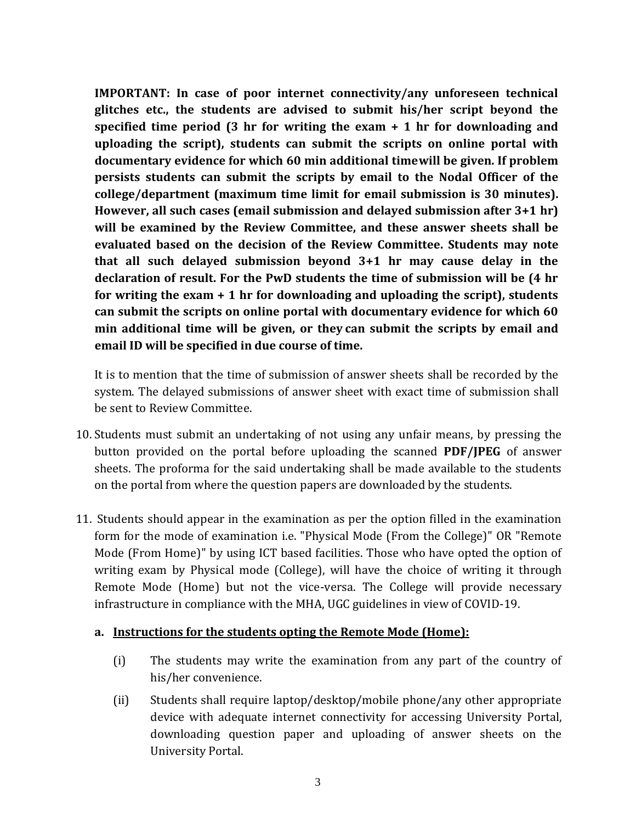**IMPORTANT: In case of poor internet connectivity/any unforeseen technical glitches etc., the students are advised to submit his/her script beyond the specified time period (3 hr for writing the exam + 1 hr for downloading and uploading the script), students can submit the scripts on online portal with documentary evidence for which 60 min additional timewill be given. If problem persists students can submit the scripts by email to the Nodal Officer of the college/department (maximum time limit for email submission is 30 minutes). However, all such cases (email submission and delayed submission after 3+1 hr) will be examined by the Review Committee, and these answer sheets shall be evaluated based on the decision of the Review Committee. Students may note that all such delayed submission beyond 3+1 hr may cause delay in the declaration of result. For the PwD students the time of submission will be (4 hr for writing the exam + 1 hr for downloading and uploading the script), students can submit the scripts on online portal with documentary evidence for which 60 min additional time will be given, or they can submit the scripts by email and email ID will be specified in due course of time.**

It is to mention that the time of submission of answer sheets shall be recorded by the system. The delayed submissions of answer sheet with exact time of submission shall be sent to Review Committee.

- 10. Students must submit an undertaking of not using any unfair means, by pressing the button provided on the portal before uploading the scanned **PDF/JPEG** of answer sheets. The proforma for the said undertaking shall be made available to the students on the portal from where the question papers are downloaded by the students.
- 11. Students should appear in the examination as per the option filled in the examination form for the mode of examination i.e. "Physical Mode (From the College)" OR "Remote Mode (From Home)" by using ICT based facilities. Those who have opted the option of writing exam by Physical mode (College), will have the choice of writing it through Remote Mode (Home) but not the vice-versa. The College will provide necessary infrastructure in compliance with the MHA, UGC guidelines in view of COVID-19.

### **a. Instructions for the students opting the Remote Mode (Home):**

- (i) The students may write the examination from any part of the country of his/her convenience.
- (ii) Students shall require laptop/desktop/mobile phone/any other appropriate device with adequate internet connectivity for accessing University Portal, downloading question paper and uploading of answer sheets on the University Portal.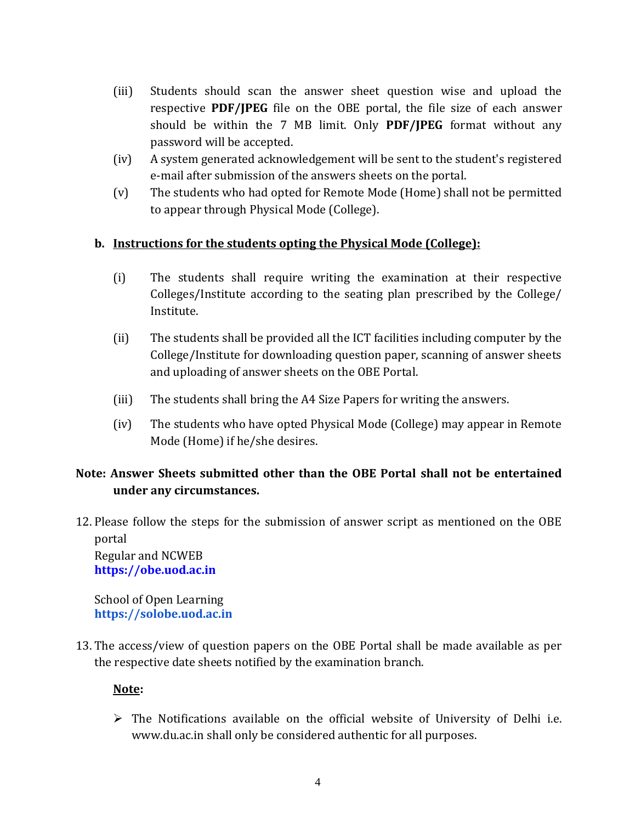- (iii) Students should scan the answer sheet question wise and upload the respective **PDF/JPEG** file on the OBE portal, the file size of each answer should be within the 7 MB limit. Only **PDF/JPEG** format without any password will be accepted.
- (iv) A system generated acknowledgement will be sent to the student's registered e-mail after submission of the answers sheets on the portal.
- (v) The students who had opted for Remote Mode (Home) shall not be permitted to appear through Physical Mode (College).

## **b. Instructions for the students opting the Physical Mode (College):**

- (i) The students shall require writing the examination at their respective Colleges/Institute according to the seating plan prescribed by the College/ Institute.
- (ii) The students shall be provided all the ICT facilities including computer by the College/Institute for downloading question paper, scanning of answer sheets and uploading of answer sheets on the OBE Portal.
- (iii) The students shall bring the A4 Size Papers for writing the answers.
- (iv) The students who have opted Physical Mode (College) may appear in Remote Mode (Home) if he/she desires.

# **Note: Answer Sheets submitted other than the OBE Portal shall not be entertained under any circumstances.**

12. Please follow the steps for the submission of answer script as mentioned on the OBE portal Regular and NCWEB

**[https://obe.uod.ac.in](https://obe.uod.ac.in/)**

School of Open Learning **https://solobe.uod.ac.in**

13. The access/view of question papers on the OBE Portal shall be made available as per the respective date sheets notified by the examination branch.

### **Note:**

 $\triangleright$  The Notifications available on the official website of University of Delhi i.e. [www.du.ac.in](http://www.du.ac.in/) shall only be considered authentic for all purposes.